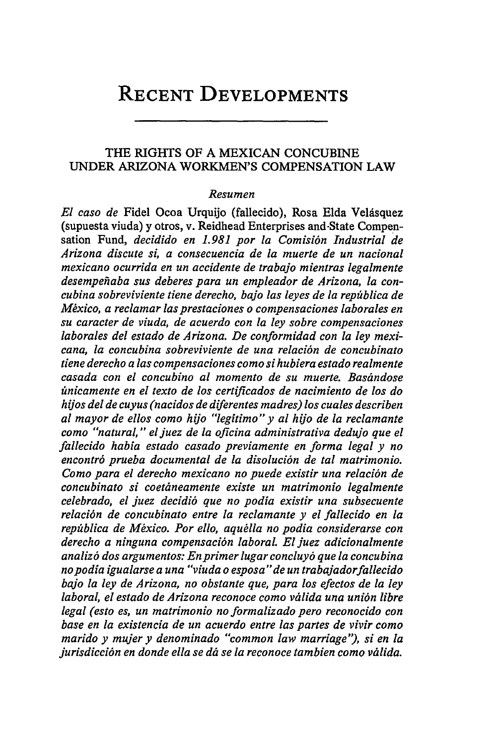# **RECENT DEVELOPMENTS**

# THE RIGHTS OF A MEXICAN CONCUBINE UNDER ARIZONA WORKMEN'S COMPENSATION LAW

#### *Resumen*

*El caso de* Fidel Ocoa Urquijo (fallecido), Rosa Elda Velásquez (supuesta viuda) y otros, v. Reidhead Enterprises and-State Compensation Fund, *decidido en 1.981 por la Comisión Industrial de Arizona discute si, a consecuencia de la muerte de un nacional mexicano ocurrida en un accidente de trabajo mientras legalmente desempefiaba sus deberes para un empleador de Arizona, la concubina sobreviviente tiene derecho, bajo las leyes de la repfiblica de*  $México$ , a reclamar las prestaciones o compensaciones laborales en *su caracter de viuda, de acuerdo con la ley sobre compensaciones laborales del estado de Arizona. De conformidad con la ley mexicana, la concubina sobreviviente de una relaci6n de concubinato tiene derecho alas compensaciones como si hubiera estado realmente casada con el concubino al momento de su muerte. Bastndose 6nicamente en el texto de los certificados de nacimiento de los do hijos del de cuyus (nacidos de diferentes madres) los cuales describen al mayor de ellos como hijo "legitimo" y al hijo de la reclamante como "natural," eljuez de la oficina administrativa dedujo que el fallecido habia estado casado previamente en forma legal y no encontr6 prueba documental de la disoluci6n de tal matrimonio. Como para el derecho mexicano no puede existir una relaci6n de concubinato si coetdneamente existe un matrimonio legalmente celebrado, el juez decidi6 que no podia existir una subsecuente relaci6n de concubinato entre la reclamante y el fallecido en la reptblica de Mexico. Por ello, aqudlla no podia considerarse con derecho a ninguna compensaci6n laboral. El juez adicionalmente analiz6 dos argumentos: En primer lugar concluy6 que la concubina no podia igualarse a una "viuda o esposa" de un trabajadorfallecido bajo la ley de Arizona, no obstante que, para los efectos de la ley laboral, el estado de Arizona reconoce como valida una uni6n libre legal (esto es, un matrimonio no formalizado pero reconocido con base en la existencia de un acuerdo entre las partes de vivir como marido y mujer y denominado "common law marriage'), si en la jurisdicci6n en donde ella se* dd *se la reconoce tambien como vtiida.*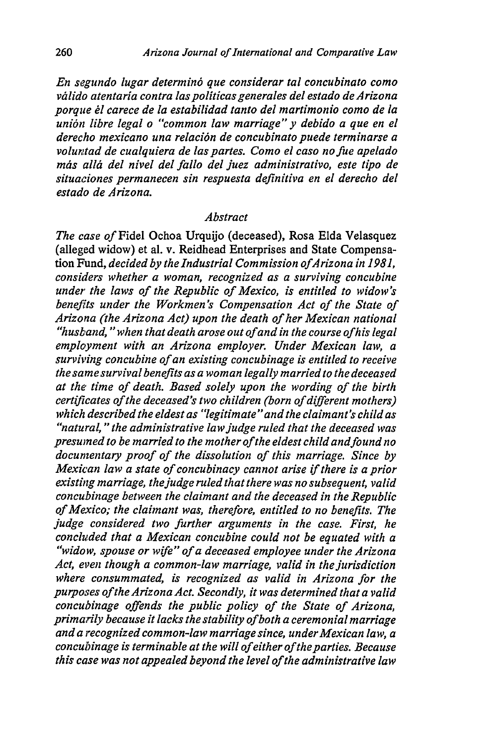*En segundo lugar determin6 que considerar tal concubinato como vidlido atentaria contra laspoliticas generales del estado de Arizona porque 6l carece de la estabilidad tanto del martimonio como de la uni6n libre legal o "common law marriage" y debido a que en el derecho mexicano una relaci6n de concubinato puede terminarse a* voluntad de cualquiera de las partes. Como el caso no fue apelado más allá del nivel del fallo del juez administrativo, este tipo de *situaciones permanecen sin respuesta definitiva en el derecho del estado de Arizona.*

#### *Abstract*

*The case of* Fidel Ochoa Urquijo (deceased), Rosa Elda Velasquez (alleged widow) et al. v. Reidhead Enterprises and State Compensation Fund, *decided by the Industrial Commission of Arizona in 1981*, *considers whether a woman, recognized as a surviving concubine under the laws of the Republic of Mexico, is entitled to widow's benefits under the Workmen's Compensation Act of the State of Arizona (the Arizona Act) upon the death of her Mexican national "husband, " when that death arose out of and in the course of his legal employment with an Arizona employer. Under Mexican law, a surviving concubine of an existing concubinage is entitled to receive the same survival benefits as a woman legally married to the deceased at the, time of death. Based solely upon the wording of the birth certificates of the deceased's two children (born of different mothers) which described the eldest as "legitimate "and the claimant's child as "natural,* **"** *the administrative law judge ruled that the deceased was presumed to be married to the mother of the eldest child andfound no documentary proof of the dissolution of this marriage. Since by Mexican law a state of concubinacy cannot arise* if *there is a prior existing marriage, the judge ruled that there was no subsequent, valid concubinage between the claimant and the deceased in the Republic of Mexico; the claimant was, therefore, entitled to no benefits. The judge considered two further arguments in the case. First, he concluded that a Mexican concubine could not be equated with a "widow, spouse or* wife" *of a deceased employee under the Arizona Act, even though a common-law marriage, valid in the jurisdiction where consummated, is recognized as valid in Arizona for the purposes of the Arizona Act. Secondly, it was determined that a valid concubinage offends the public policy of the State of Arizona, primarily because it lacks the stability of both a ceremonial marriage and a recognized common-law marriage since, underMexican law, a concubinage is terminable at the will of either of the parties. Because this case was not appealed beyond the level of the administrative law*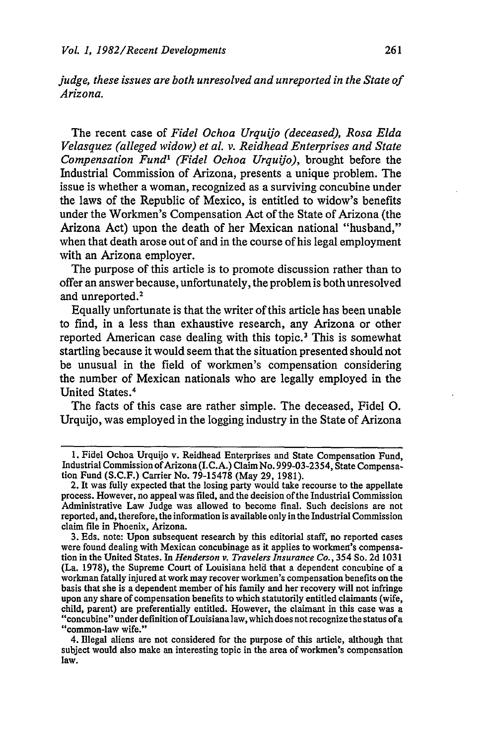*judge, these issues are both unresolved and unreported in the State of Arizona.*

The recent case of *Fidel Ochoa Urquijo (deceased), Rosa Elda Velasquez (alleged widow) et al. v. Reidhead Enterprises and State Compensation Fund' (Fidel Ochoa Urquijo),* brought before the Industrial Commission of Arizona, presents a unique problem. The issue is whether a woman, recognized as a surviving concubine under the laws of the Republic of Mexico, is entitled to widow's benefits under the Workmen's Compensation Act of the State of Arizona (the Arizona Act) upon the death of her Mexican national "husband," when that death arose out of and in the course of his legal employment with an Arizona employer.

The purpose of this article is to promote discussion rather than to offer an answer because, unfortunately, the problem is both unresolved and unreported.<sup>2</sup>

Equally unfortunate is that the writer of this article has been unable to find, in a less than exhaustive research, any Arizona or other reported American case dealing with this topic.<sup>3</sup> This is somewhat startling because it would seem that the situation presented should not be unusual in the field of workmen's compensation considering the number of Mexican nationals who are legally employed in the United States. <sup>4</sup>

The facts of this case are rather simple. The deceased, Fidel **0.** Urquijo, was employed in the logging industry in the State of Arizona

**<sup>1.</sup>** Fidel Ochoa Urquijo v. Reidhead Enterprises and State Compensation Fund, Industrial Commission of Arizona (I.C.A.) Claim No. 999-03-2354, State Compensation Fund **(S.C.F.)** Carrier No. **79-15478** (May **29, 1981).**

<sup>2.</sup> It was fully expected that the losing party would take recourse to the appellate process. However, no appeal was filed, and the decision of the Industrial Commission Administrative Law Judge was allowed to become final. Such decisions are not reported, and, therefore, the information is available only in the Industrial Commission claim file in Phoenix, Arizona.

**<sup>3.</sup>** Eds. note: Upon subsequent research **by** this editorial staff, no reported cases were found dealing with Mexican concubinage as it applies to workmen's compensation in the United States. In *Henderson v. Travelers Insurance Co.,* 354 So. **2d 1031** (La. **1978),** the Supreme Court of Louisiana held that a dependent concubine of a workman fatally injured at work may recover workmen's compensation benefits on the basis that she is a dependent member of his family and her recovery will not infringe upon any share of compensation benefits to which statutorily entitled claimants (wife, child, parent) are preferentially entitled. However, the claimant in this case was a "concubine" under definition of Louisiana law, which does not recognize the status of a "common-law wife."

<sup>4.</sup> Illegal aliens are not considered for the purpose of this article, although that subject would also make an interesting topic in the area of workmen's compensation law.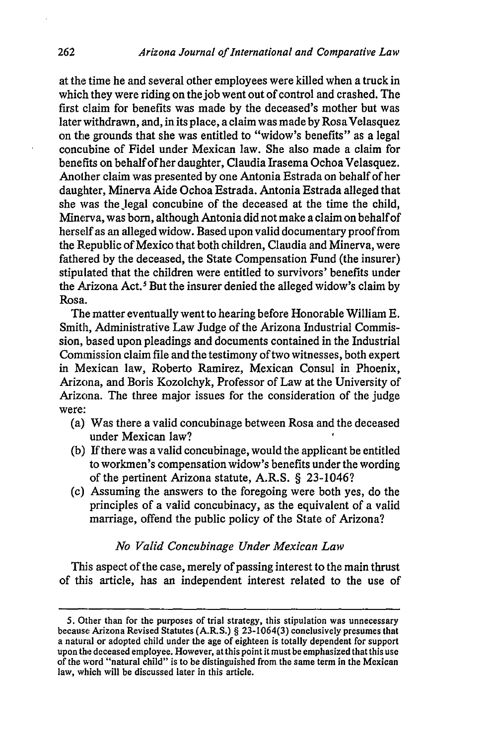at the time he and several other employees were killed when a truck in which they were riding on the job went out of control and crashed. The first claim for benefits was made by the deceased's mother but was later withdrawn, and, in its place, a claim was made by Rosa Velasquez on the grounds that she was entitled to "widow's benefits" as a legal concubine of Fidel under Mexican law. She also made a claim for benefits on behalf of her daughter, Claudia Irasema Ochoa Velasquez. Another claim was presented by one Antonia Estrada on behalf of her daughter, Minerva Aide Ochoa Estrada. Antonia Estrada alleged that she was the Jegal concubine of the deceased at the time the child, Minerva, was born, although Antonia did not make a claim on behalf of herself as an alleged widow. Based upon valid documentary proof from the Republic of Mexico that both children, Claudia and Minerva, were fathered by the deceased, the State Compensation Fund (the insurer) stipulated that the children were entitled to survivors' benefits under the Axizona Act.' But the insurer denied the alleged widow's claim by Rosa.

The matter eventually went to hearing before Honorable William E. Smith, Administrative Law Judge of the Arizona Industrial Commission, based upon pleadings and documents contained in the Industrial Commission claim file and the testimony of two witnesses, both expert in Mexican law, Roberto Ramirez, Mexican Consul in Phoenix, Arizona, and Boris Kozolchyk, Professor of Law at the University of Arizona. The three major issues for the consideration of the judge were:

- (a) Was there a valid concubinage between Rosa and the deceased under Mexican law?
- (b) If there was a valid concubinage, would the applicant be entitled to workmen's compensation widow's benefits under the wording of the pertinent Arizona statute, A.R.S. § 23-1046?
- (c) Assuming the answers to the foregoing were both yes, do the principles of a valid concubinacy, as the equivalent of a valid marriage, offend the public policy of the State of Arizona?

## *No Valid Concubinage Under Mexican Law*

This aspect of the case, merely of passing interest to the main thrust of this article, has an independent interest related to the use of

<sup>5.</sup> Other than for the purposes of trial strategy, this stipulation was unnecessary because Arizona Revised Statutes (A.R.S.) § 23-1064(3) conclusively presumes that a natural or adopted child under the age of eighteen is totally dependent for support upon the deceased employee. However, at this point it must be emphasized that this use of the word "natural child" is to be distinguished from the same term in the Mexican law, which will be discussed later in this article.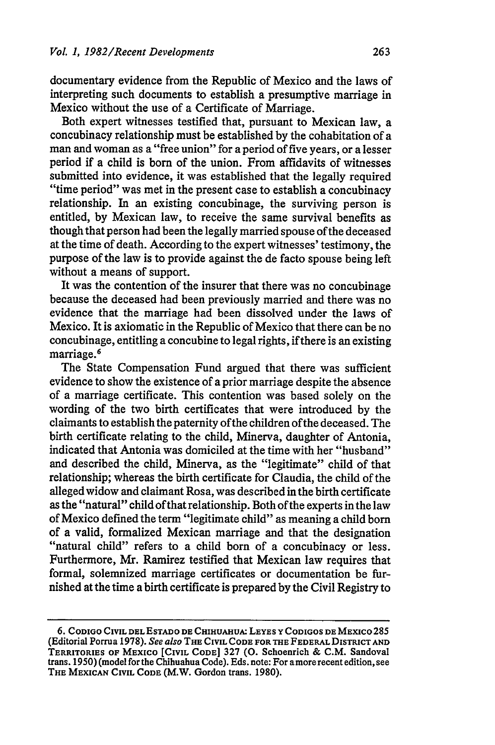documentary evidence from the Republic of Mexico and the laws of interpreting such documents to establish a presumptive marriage in Mexico without the use of a Certificate of Marriage.

Both expert witnesses testified that, pursuant to Mexican law, a concubinacy relationship must be established by the cohabitation of a man and woman as a "free union" for a period of five years, or a lesser period if a child is born of the union. From affidavits of witnesses submitted into evidence, it was established that the legally required "time period" was met in the present case to establish a concubinacy relationship. In an existing concubinage, the surviving person is entitled, by Mexican law, to receive the same survival benefits as though that person had been the legally married spouse ofthe deceased at the time of death. According to the expert witnesses' testimony, the purpose of the law is to provide against the de facto spouse being left without a means of support.

It was the contention of the insurer that there was no concubinage because the deceased had been previously married and there was no evidence that the marriage had been dissolved under the laws of Mexico. It is axiomatic in the Republic of Mexico that there can be no concubinage, entitling a concubine to legal rights, if there is an existing marriage.<sup>6</sup>

The State Compensation Fund argued that there was sufficient evidence to show the existence of a prior marriage despite the absence of a marriage certificate. This contention was based solely on the wording of the two birth certificates that were introduced by the claimants to establish the paternity of the children of the deceased. The birth certificate relating to the child, Minerva, daughter of Antonia, indicated that Antonia was domiciled at the time with her "husband" and described the child, Minerva, as the "legitimate" child of that relationship; whereas the birth certificate for Claudia, the child of the alleged widow and claimant Rosa, was described in the birth certificate as the "natural" child of that relationship. Both of the experts in the law of Mexico defined the term "legitimate child" as meaning a child born of a valid, formalized Mexican marriage and that the designation "natural child" refers to a child born of a concubinacy or less. Furthermore, Mr. Ramirez testified that Mexican law requires that formal, solemnized marriage certificates or documentation be furnished at the time a birth certificate is prepared by the Civil Registry to

**<sup>6.</sup> CODIGO CIVIL DEL ESTADO DE CHIHUAHUA: LEYES** Y **CODIGOS DE MEXICO** 285 (Editorial Porrua **1978).** *See also* **THE CIVIL CODE FOR THE FEDERAL DISTRICT AND TERRITORIES OF** MEXICO [CIVIL **CODE] 327 (0.** Schoenrich & **C.M.** Sandoval trans. 1950) (model for the Chihuahua Code). Eds. note: For amore recent edition, see **THE MEXICAN** CIVIL **CODE** (M.W. Gordon trans. **1980).**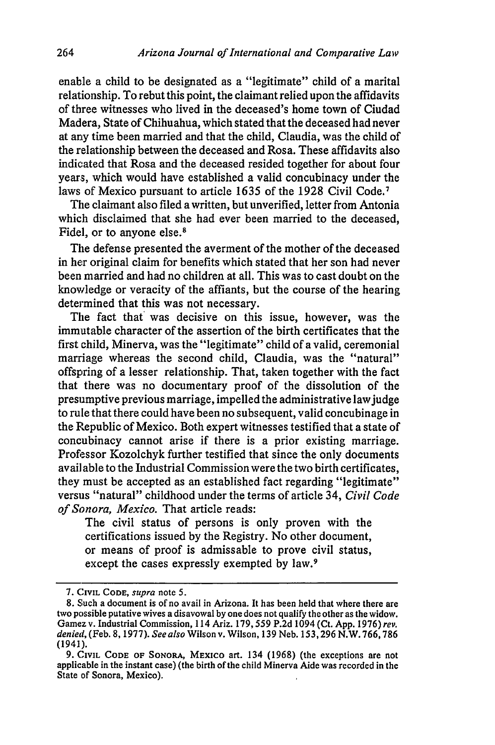enable a child to be designated as a "legitimate" child of a marital relationship. To rebut this point, the claimant relied upon the affidavits of three witnesses who lived in the deceased's home town of Ciudad Madera, State of Chihuahua, which stated that the deceased had never at any time been married and that the child, Claudia, was the child of the relationship between the deceased and Rosa. These affidavits also indicated that Rosa and the deceased resided together for about four years, which would have established a valid concubinacy under the laws of Mexico pursuant to article 1635 of the 1928 Civil Code.<sup>7</sup>

The claimant also filed a written, but unverified, letter from Antonia which disclaimed that she had ever been married to the deceased, Fidel, or to anyone else.<sup>8</sup>

The defense presented the averment of the mother of the deceased in her original claim for benefits which stated that her son had never been married and had no children at all. This was to cast doubt on the knowledge or veracity of the affiants, but the course of the hearing determined that this was not necessary.

The fact that was decisive on this issue, however, was the immutable character of the assertion of the birth certificates that the first child, Minerva, was the "legitimate" child of a valid, ceremonial marriage whereas the second child, Claudia, was the "natural" offspring of a lesser relationship. That, taken together with the fact that there was no documentary proof of the dissolution of the presumptive previous marriage, impelled the administrative lawjudge to rule that there could have been no subsequent, valid concubinage in the Republic of Mexico. Both expert witnesses testified that a state of concubinacy cannot arise if there is a prior existing marriage. Professor Kozolchyk further testified that since the only documents avail able to the Industrial Commission were the two birth certificates, they must be accepted as an established fact regarding "legitimate" versus "natural" childhood under the terms of article 34, *Civil Code of Sonora, Mexico.* That article reads:

The civil status of persons is only proven with the certifications issued by the Registry. No other document, or means of proof is admissable to prove civil status, except the cases expressly exempted by law.<sup>9</sup>

**<sup>7.</sup> CIVIL CODE,** *supra* note **5.**

<sup>8.</sup> Such a document is of no avail in Arizona. It has been held that where there are two possible putative wives a disavowal by one does not qualify the other as the widow. Gamez v. Industrial Commission, 114 Ariz. 179,559 P.2d 1094 (Ct. App. 1976) *rev. denied,* (Feb. 8, 1977). *See also* Wilson v. Wilson, 139 Neb. 153,296 N.W. 766,786 (1941).

<sup>9.</sup> CIVIL CODE OF SONORA, MEXICO art. 134 (1968) (the exceptions are not applicable in the instant case) (the birth of the child Minerva Aide was recorded in the State of Sonora, Mexico).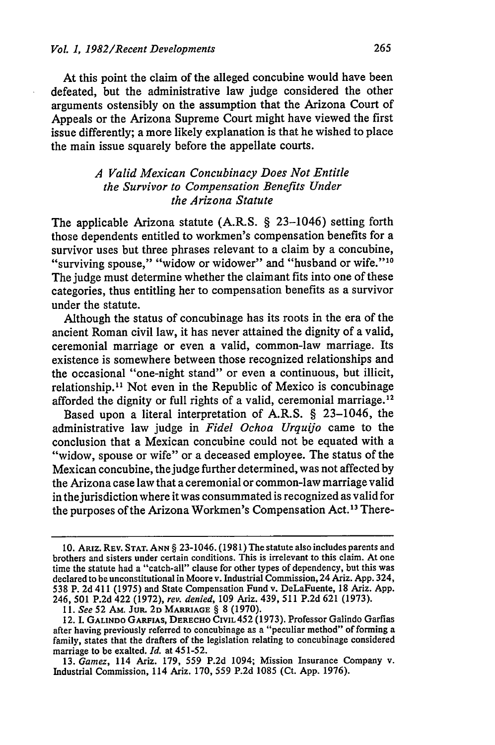At this point the claim of the alleged concubine would have been defeated, but the administrative law judge considered the other arguments ostensibly on the assumption that the Arizona Court of Appeals or the Arizona Supreme Court might have viewed the first issue differently; a more likely explanation is that he wished to place the main issue squarely before the appellate courts.

# *A Valid Mexican Concubinacy Does Not Entitle the Survivor to Compensation Benefits Under the Arizona Statute*

The applicable Arizona statute (A.R.S. § 23-1046) setting forth those dependents entitled to workmen's compensation benefits for a survivor uses but three phrases relevant to a claim by a concubine. "surviving spouse," "widow or widower" and "husband or wife."<sup>10</sup> The judge must determine whether the claimant fits into one of these categories, thus entitling her to compensation benefits as a survivor under the statute.

Although the status of concubinage has its roots in the era of the ancient Roman civil law, it has never attained the dignity of a valid, ceremonial marriage or even a valid, common-law marriage. Its existence is somewhere between those recognized relationships and the occasional "one-night stand" or even a continuous, but illicit, relationship.<sup>11</sup> Not even in the Republic of Mexico is concubinage afforded the dignity or full rights of a valid, ceremonial marriage. <sup>12</sup>

Based upon a literal interpretation of A.R.S. § 23-1046, the administrative law judge in *Fidel Ochoa Urquijo* came to the conclusion that a Mexican concubine could not be equated with a "widow, spouse or wife" or a deceased employee. The status of the Mexican concubine, the judge further determined, was not affected by the Arizona case law that a ceremonial or common-law marriage valid in the jurisdiction where it was consummated is recognized as valid for the purposes of the Arizona Workmen's Compensation Act.'3 There-

**<sup>10.</sup>** ARiz. REV. **STAT. ANN** § 23-1046. **(1981)** The statute also includes parents and brothers and sisters under certain conditions. This is irrelevant to this claim. At one time the statute had a "catch-all" clause for other types of dependency, but this was declared to be unconstitutional in Moore v. Industrial Commission, 24 Ariz. App. 324, **538** P. 2d 411 (1975) and State Compensation Fund v. DeLaFuente, 18 Ariz. App. 246, 501 P.2d 422 (1972), *rev. denied,* 109 Ariz. 439, 511 P.2d 621 (1973).

**<sup>11.</sup>** *See* 52 Am. JuR. 2D MARRIAGE § 8 (1970).

<sup>12.</sup> I. GALINDO GARFIAS, DERECHO CIVIL 452 (1973). Professor Galindo Garfias after having previously referred to concubinage as a "peculiar method" of forming a family, states that the drafters of the legislation relating to concubinage considered marriage to be exalted. *Id.* at 451-52.

<sup>13.</sup> *Gamez,* 114 Ariz. 179, 559 P.2d 1094; Mission Insurance Company v. Industrial Commission, 114 Ariz. 170, 559 P.2d 1085 (Ct. App. 1976).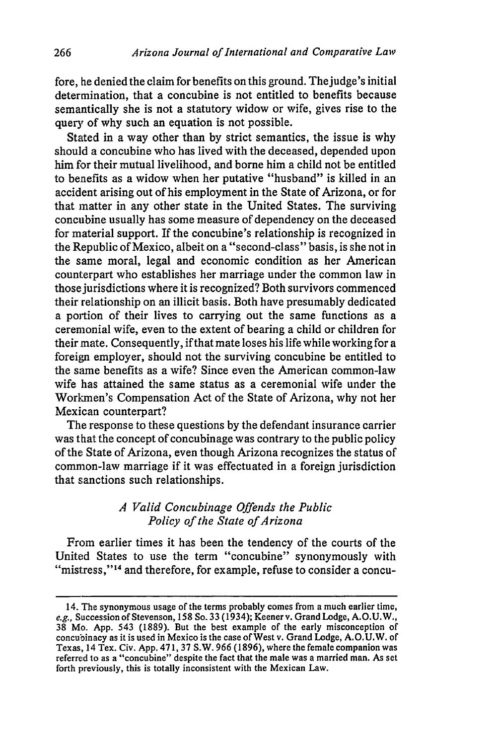fore, he denied the claim for benefits on this ground. Thejudge's initial determination, that a concubine is not entitled to benefits because semantically she is not a statutory widow or wife, gives rise to the query of why such an equation is not possible.

Stated in a way other than by strict semantics, the issue is why should a concubine who has lived with the deceased, depended upon him for their mutual livelihood, and borne him a child not be entitled to benefits as a widow when her putative "husband" is killed in an accident arising out of his employment in the State of Arizona, or for that matter in any other state in the United States. The surviving concubine usually has some measure of dependency on the deceased for material support. If the concubine's relationship is recognized in the Republic of Mexico, albeit on a "second-class" basis, is she not in the same moral, legal and economic condition as her American counterpart who establishes her marriage under the common law in those jurisdictions where it is recognized? Both survivors commenced their relationship on an illicit basis. Both have presumably dedicated a portion of their lives to carrying out the same functions as a ceremonial wife, even to the extent of bearing a child or children for their mate. Consequently, if that mate loses his life while working for a foreign employer, should not the surviving concubine be entitled to the same benefits as a wife? Since even the American common-law wife has attained the same status as a ceremonial wife under the Workmen's Compensation Act of the State of Arizona, why not her Mexican counterpart?

The response to these questions by the defendant insurance carrier was that the concept of concubinage was contrary to the public policy of the State of Arizona, even though Arizona recognizes the status of common-law marriage if it was effectuated in a foreign jurisdiction that sanctions such relationships.

## *<sup>A</sup>Valid Concubinage Offends the Public Policy of the State of Arizona*

From earlier times it has been the tendency of the courts of the United States to use the term "concubine" synonymously with "mistress,"<sup>14</sup> and therefore, for example, refuse to consider a concu-

<sup>14.</sup> The synonymous usage of the terms probably comes from a much earlier time, *e.g.,* Succession of Stevenson, 158 So. 33 (1934); Keener v. Grand Lodge, A.O.U.W., 38 Mo. App. 543 (1889). But the best example of the early misconception of concubinacy as it is used in Mexico is the case of West v. Grand Lodge, A.O.U.W. of Texas, 14 Tex. Civ. App. 471, 37 S.W. 966 (1896), where the female companion was referred to as a "concubine" despite the fact that the male was a married man. As set forth previously, this is totally inconsistent with the Mexican Law.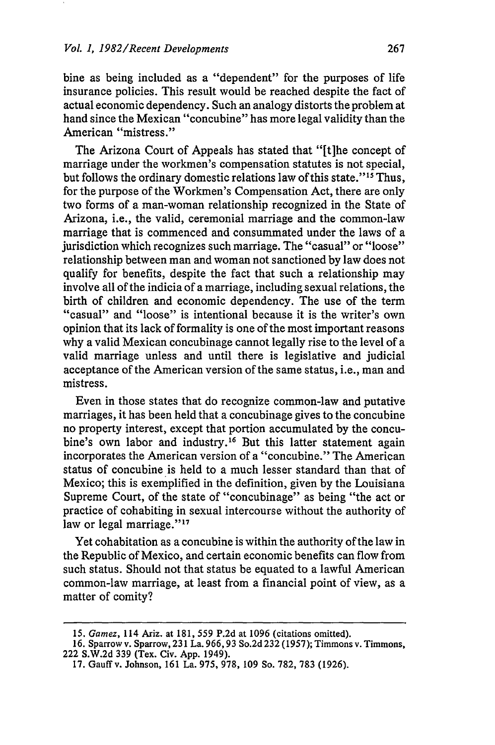bine as being included as a "dependent" for the purposes of life insurance policies. This result would be reached despite the fact of actual economic dependency. Such an analogy distorts the problem at hand since the Mexican "concubine" has more legal validity than the American "mistress."

The Arizona Court of Appeals has stated that "[t]he concept of marriage under the workmen's compensation statutes is not special, but follows the ordinary domestic relations law of this state."<sup>15</sup> Thus, for the purpose of the Workmen's Compensation Act, there are only two forms of a man-woman relationship recognized in the State of Arizona, i.e., the valid, ceremonial marriage and the common-law marriage that is commenced and consummated under the laws of a jurisdiction which recognizes such marriage. The "casual" or "loose" relationship between man and woman not sanctioned by law does not qualify for benefits, despite the fact that such a relationship may involve all of the indicia of a marriage, including sexual relations, the birth of children and economic dependency. The use of the term "casual" and "loose" is intentional because it is the writer's own opinion that its lack of formality is one of the most important reasons why a valid Mexican concubinage cannot legally rise to the level of a valid marriage unless and until there is legislative and judicial acceptance of the American version of the same status, i.e., man and mistress.

Even in those states that do recognize common-law and putative marriages, it has been held that a concubinage gives to the concubine no property interest, except that portion accumulated by the concubine's own labor and industry.<sup>16</sup> But this latter statement again incorporates the American version of a "concubine." The American status of concubine is held to a much lesser standard than that of Mexico; this is exemplified in the definition, given by the Louisiana Supreme Court, of the state of "concubinage" as being "the act or practice of cohabiting in sexual intercourse without the authority of law or legal marriage."<sup>17</sup>

Yet cohabitation as a concubine is within the authority of the law in the Republic of Mexico, and certain economic benefits can flow from such status. Should not that status be equated to a lawful American common-law marriage, at least from a financial point of view, as a matter of comity?

<sup>15.</sup> *Gamez,* 114 Ariz. at 181, 559 P.2d at 1096 (citations omitted).

**<sup>16.</sup>** Sparrow v. Sparrow, **231** La. **966,93** So.2d 232 (1957); Timmons v. Timmons, 222 S.W.2d 339 (Tex. Civ. App. 1949).

**<sup>17.</sup>** Gauffv. Johnson, 161 La. 975, 978, 109 So. 782, **783** (1926).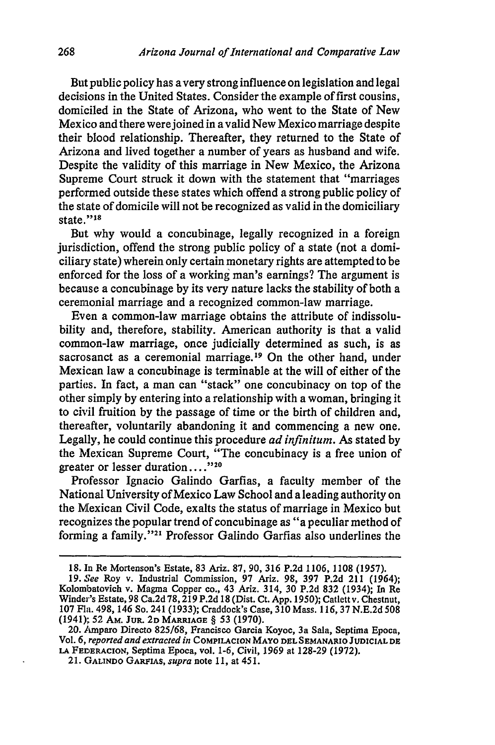But public policy has avery strong influence on legislation and legal decisions in the United States. Consider the example of first cousins, domiciled in the State of Arizona, who went to the State of New Mexico and there were joined in a valid New Mexico marriage despite their blood relationship. Thereafter, they returned to the State of Arizona and lived together a number of years as husband and wife. Despite the validity of this marriage in New Mexico, the Arizona Supreme Court struck it down with the statement that "marriages performed outside these states which offend a strong public policy of the state of domicile will not be recognized as valid in the domiciliary state."<sup>18</sup>

But why would a concubinage, legally recognized in a foreign jurisdiction, offend the strong public policy of a state (not a domiciliary state) wherein only certain monetary rights are attempted to be enforced for the loss of a working man's earnings? The argument is because a concubinage by its very nature lacks the stability of both a ceremonial marriage and a recognized common-law marriage.

Even a common-law marriage obtains the attribute of indissolubility and, therefore, stability. American authority is that a valid common-law marriage, once judicially determined as such, is as sacrosanct as a ceremonial marriage.<sup>19</sup> On the other hand, under Mexican law a concubinage is terminable at the will of either of the parties. In fact, a man can "stack" one concubinacy on top of the other simply by entering into a relationship with a woman, bringing it to civil fruition by the passage of time or the birth of children and, thereafter, voluntarily abandoning it and commencing a new one. Legally, he could continue this procedure *ad infinitum.* As stated by the Mexican Supreme Court, "The concubinacy is a free union of greater or lesser duration...."<sup>120</sup>

Professor Ignacio Galindo Garfias, a faculty member of the National University of Mexico Law School and a leading authority on the Mexican Civil Code, exalts the status of marriage in Mexico but recognizes the popular trend of concubinage as "a peculiar method of forming a family."'21 Professor Galindo Garfias also underlines the

<sup>18.</sup> In Re Mortenson's Estate, 83 Ariz. 87, 90, **316** P.2d 1106, 1108 (1957).

**<sup>19.</sup>** *See* Roy v. Industrial Commission, **97** Ariz. **98, 397 P.2d** 211 (1964); Kolombatovich v. Magma Copper co., 43 Ariz. 314, 30 P.2d **832** (1934); In Re Winder's Estate, 98 Ca.2d 78,219 P.2d 18 (Dist. Ct. App. 1950); Catlett v. Chestnut, 107 Fla. 498, 146 So. 241 (1933); Craddock's Case, 310 Mass. 116, **37** N.E.2d **508** (1941); 52 AM. JUR. 2D **MARRIAGE** § 53 (1970).

<sup>20.</sup> Amparo Directo 825/68, Francisco Garcia Koyoc, 3a Sala, Septima Epoca, Vol. **6,** *reported and extracted in* **COMPILACION MAYO DEL SEMANARIO JUDICIAL DE LA** FEDERACION, Septima Epoca, vol. 1-6, Civil, 1969 at 128-29 (1972). *<sup>2</sup>***1.** GALINDO GARFIAS, *supra* note **11,** at 451.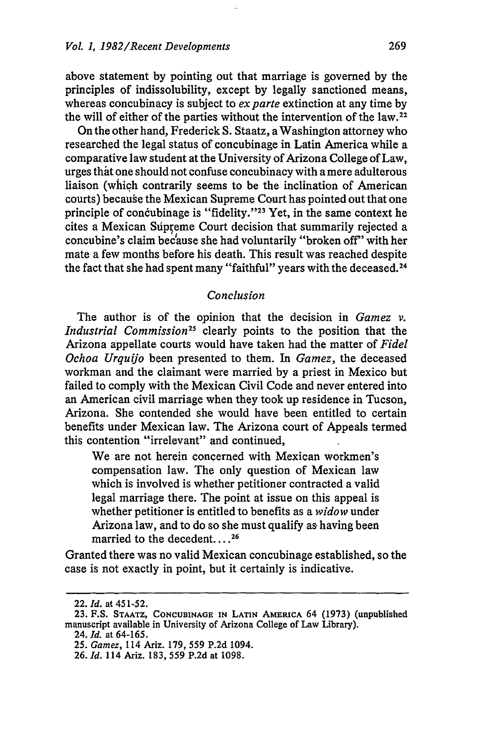above statement **by** pointing out that marriage is governed by the principles of indissolubility, except by legally sanctioned means, whereas concubinacy is subject to *ex parte* extinction at any time by the will of either of the parties without the intervention of the law. <sup>22</sup>

On the other hand, Frederick S. Staatz, a Washington attorney who researched the legal status of concubinage in Latin America while a comparative law student at the University of Arizona College of Law, urges that one should not confuse concubinacy with a mere adulterous liaison (which contrarily seems to be the inclination of American courts) because the Mexican Supreme Court has pointed out that one principle of concubinage is "fidelity."<sup>23</sup> Yet, in the same context he cites a Mexican Supreme Court decision that summarily rejected a concubine's claim because she had voluntarily "broken off" with her mate a few months before his death. This result was reached despite the fact that she had spent many "faithful" years with the deceased.<sup>24</sup>

### *Conclusion*

The author is of the opinion that the decision in *Gamez v. Industrial Commission25* clearly points to the position that the Arizona appellate courts would have taken had the matter of *Fidel Ochoa Urquijo* been presented to them. In *Gamez,* the deceased workman and the claimant were married by a priest in Mexico but failed to comply with the Mexican Civil Code and never entered into an American civil marriage when they took up residence in Tucson, Arizona. She contended she would have been entitled to certain benefits under Mexican law. The Arizona court of Appeals termed this contention "irrelevant" and continued,

We are not herein concerned with Mexican workmen's compensation law. The only question of Mexican law which is involved is whether petitioner contracted a valid legal marriage there. The point at issue on this appeal is whether petitioner is entitled to benefits as a *widow* under Arizona law, and to do so she must qualify as having been married to the decedent....<sup>26</sup>

Granted there was no valid Mexican concubinage established, so the case is not exactly in point, but it certainly is indicative.

<sup>22.</sup> *Id.* at 451-52.

**<sup>23.</sup> F.S. STAATZ, CONCUBINAGE** IN **LATIN AMERICA** 64 **(1973)** (unpublished manuscript available in University of Arizona College of Law Library).

<sup>24.</sup> *Id.* at 64-165.

<sup>25.</sup> *Gamez,* 114 Ariz. 179, 559 P.2d 1094.

<sup>26.</sup> *Id.* 114 Ariz. 183, 559 P.2d at 1098.